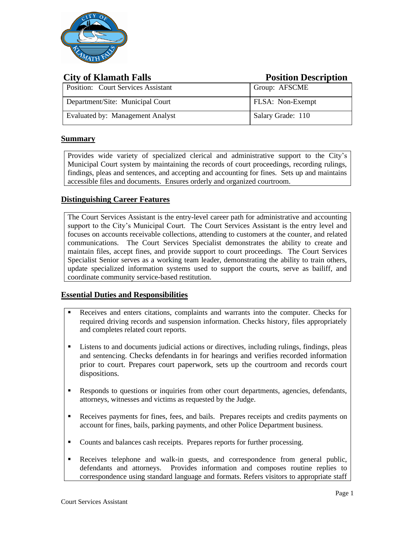

| <b>City of Klamath Falls</b>              | <b>Position Description</b> |
|-------------------------------------------|-----------------------------|
| <b>Position:</b> Court Services Assistant | Group: AFSCME               |
| Department/Site: Municipal Court          | FLSA: Non-Exempt            |
| Evaluated by: Management Analyst          | Salary Grade: 110           |

## **Summary**

Provides wide variety of specialized clerical and administrative support to the City's Municipal Court system by maintaining the records of court proceedings, recording rulings, findings, pleas and sentences, and accepting and accounting for fines. Sets up and maintains accessible files and documents. Ensures orderly and organized courtroom.

## **Distinguishing Career Features**

The Court Services Assistant is the entry-level career path for administrative and accounting support to the City's Municipal Court. The Court Services Assistant is the entry level and focuses on accounts receivable collections, attending to customers at the counter, and related communications. The Court Services Specialist demonstrates the ability to create and maintain files, accept fines, and provide support to court proceedings. The Court Services Specialist Senior serves as a working team leader, demonstrating the ability to train others, update specialized information systems used to support the courts, serve as bailiff, and coordinate community service-based restitution.

#### **Essential Duties and Responsibilities**

- Receives and enters citations, complaints and warrants into the computer. Checks for required driving records and suspension information. Checks history, files appropriately and completes related court reports.
- Listens to and documents judicial actions or directives, including rulings, findings, pleas and sentencing. Checks defendants in for hearings and verifies recorded information prior to court. Prepares court paperwork, sets up the courtroom and records court dispositions.
- **EXECUTE:** Responds to questions or inquiries from other court departments, agencies, defendants, attorneys, witnesses and victims as requested by the Judge.
- Receives payments for fines, fees, and bails. Prepares receipts and credits payments on account for fines, bails, parking payments, and other Police Department business.
- Counts and balances cash receipts. Prepares reports for further processing.
- Receives telephone and walk-in guests, and correspondence from general public, defendants and attorneys. Provides information and composes routine replies to correspondence using standard language and formats. Refers visitors to appropriate staff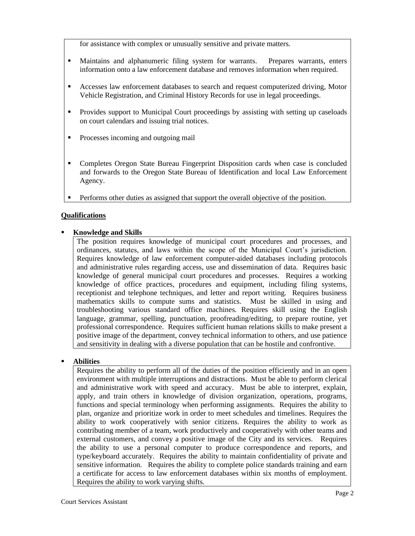for assistance with complex or unusually sensitive and private matters.

- Maintains and alphanumeric filing system for warrants. Prepares warrants, enters information onto a law enforcement database and removes information when required.
- Accesses law enforcement databases to search and request computerized driving, Motor Vehicle Registration, and Criminal History Records for use in legal proceedings.
- Provides support to Municipal Court proceedings by assisting with setting up caseloads on court calendars and issuing trial notices.
- **•** Processes incoming and outgoing mail
- Completes Oregon State Bureau Fingerprint Disposition cards when case is concluded and forwards to the Oregon State Bureau of Identification and local Law Enforcement Agency.
- **•** Performs other duties as assigned that support the overall objective of the position.

## **Qualifications**

## **Knowledge and Skills**

The position requires knowledge of municipal court procedures and processes, and ordinances, statutes, and laws within the scope of the Municipal Court's jurisdiction. Requires knowledge of law enforcement computer-aided databases including protocols and administrative rules regarding access, use and dissemination of data. Requires basic knowledge of general municipal court procedures and processes. Requires a working knowledge of office practices, procedures and equipment, including filing systems, receptionist and telephone techniques, and letter and report writing. Requires business mathematics skills to compute sums and statistics. Must be skilled in using and troubleshooting various standard office machines. Requires skill using the English language, grammar, spelling, punctuation, proofreading/editing, to prepare routine, yet professional correspondence. Requires sufficient human relations skills to make present a positive image of the department, convey technical information to others, and use patience and sensitivity in dealing with a diverse population that can be hostile and confrontive.

#### **Abilities**

Requires the ability to perform all of the duties of the position efficiently and in an open environment with multiple interruptions and distractions. Must be able to perform clerical and administrative work with speed and accuracy. Must be able to interpret, explain, apply, and train others in knowledge of division organization, operations, programs, functions and special terminology when performing assignments. Requires the ability to plan, organize and prioritize work in order to meet schedules and timelines. Requires the ability to work cooperatively with senior citizens. Requires the ability to work as contributing member of a team, work productively and cooperatively with other teams and external customers, and convey a positive image of the City and its services. Requires the ability to use a personal computer to produce correspondence and reports, and type/keyboard accurately. Requires the ability to maintain confidentiality of private and sensitive information. Requires the ability to complete police standards training and earn a certificate for access to law enforcement databases within six months of employment. Requires the ability to work varying shifts.